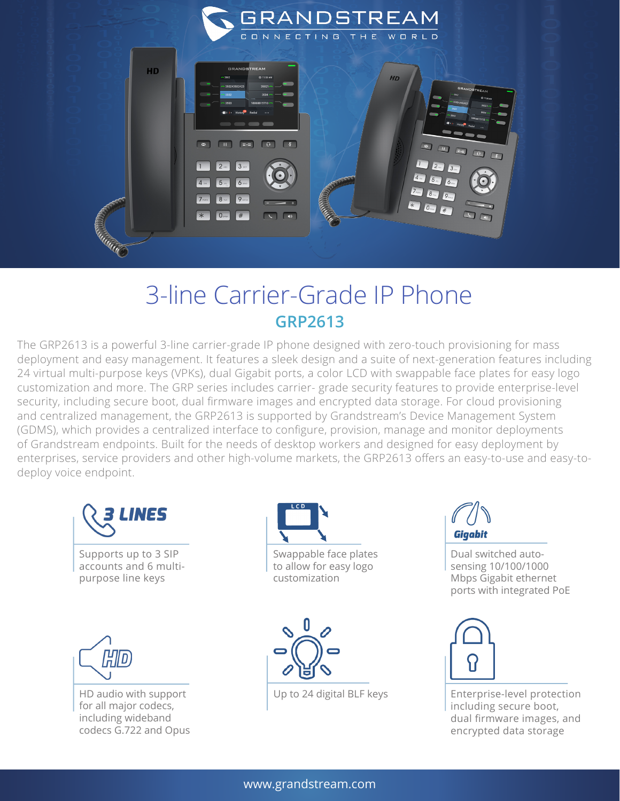

## 3-line Carrier-Grade IP Phone **GRP2613**

The GRP2613 is a powerful 3-line carrier-grade IP phone designed with zero-touch provisioning for mass deployment and easy management. It features a sleek design and a suite of next-generation features including 24 virtual multi-purpose keys (VPKs), dual Gigabit ports, a color LCD with swappable face plates for easy logo customization and more. The GRP series includes carrier- grade security features to provide enterprise-level security, including secure boot, dual firmware images and encrypted data storage. For cloud provisioning and centralized management, the GRP2613 is supported by Grandstream's Device Management System (GDMS), which provides a centralized interface to configure, provision, manage and monitor deployments of Grandstream endpoints. Built for the needs of desktop workers and designed for easy deployment by enterprises, service providers and other high-volume markets, the GRP2613 offers an easy-to-use and easy-todeploy voice endpoint.



Supports up to 3 SIP accounts and 6 multipurpose line keys



HD audio with support for all major codecs, including wideband codecs G.722 and Opus



to allow for easy logo customization



Gigabit

Dual switched autosensing 10/100/1000 Mbps Gigabit ethernet ports with integrated PoE



Up to 24 digital BLF keys  $\vert$  Enterprise-level protection including secure boot, dual firmware images, and encrypted data storage